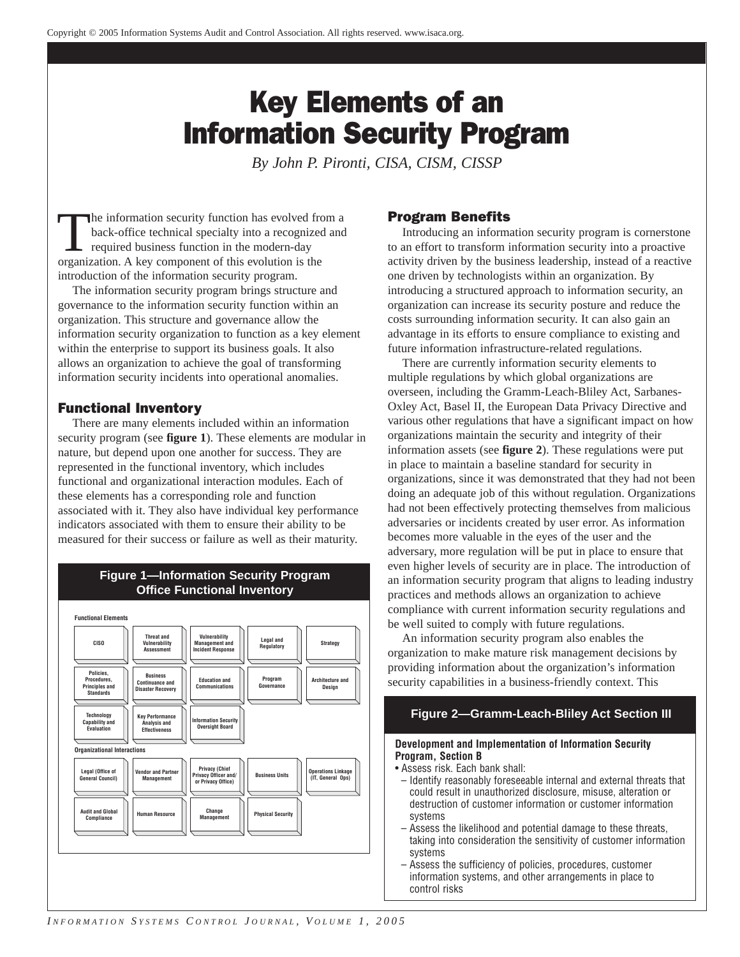# Key Elements of an Information Security Program

*By John P. Pironti, CISA, CISM, CISSP*

The information security function has evolved from a back-office technical specialty into a recognized and required business function in the modern-day organization. A key component of this evolution is the introduction of the information security program.

The information security program brings structure and governance to the information security function within an organization. This structure and governance allow the information security organization to function as a key element within the enterprise to support its business goals. It also allows an organization to achieve the goal of transforming information security incidents into operational anomalies.

# Functional Inventory

There are many elements included within an information security program (see **figure 1**). These elements are modular in nature, but depend upon one another for success. They are represented in the functional inventory, which includes functional and organizational interaction modules. Each of these elements has a corresponding role and function associated with it. They also have individual key performance indicators associated with them to ensure their ability to be measured for their success or failure as well as their maturity.

# **Figure 1—Information Security Program Office Functional Inventory**



# Program Benefits

Introducing an information security program is cornerstone to an effort to transform information security into a proactive activity driven by the business leadership, instead of a reactive one driven by technologists within an organization. By introducing a structured approach to information security, an organization can increase its security posture and reduce the costs surrounding information security. It can also gain an advantage in its efforts to ensure compliance to existing and future information infrastructure-related regulations.

There are currently information security elements to multiple regulations by which global organizations are overseen, including the Gramm-Leach-Bliley Act, Sarbanes-Oxley Act, Basel II, the European Data Privacy Directive and various other regulations that have a significant impact on how organizations maintain the security and integrity of their information assets (see **figure 2**). These regulations were put in place to maintain a baseline standard for security in organizations, since it was demonstrated that they had not been doing an adequate job of this without regulation. Organizations had not been effectively protecting themselves from malicious adversaries or incidents created by user error. As information becomes more valuable in the eyes of the user and the adversary, more regulation will be put in place to ensure that even higher levels of security are in place. The introduction of an information security program that aligns to leading industry practices and methods allows an organization to achieve compliance with current information security regulations and be well suited to comply with future regulations.

An information security program also enables the organization to make mature risk management decisions by providing information about the organization's information security capabilities in a business-friendly context. This

# **Figure 2—Gramm-Leach-Bliley Act Section III**

#### **Development and Implementation of Information Security Program, Section B**

- Assess risk. Each bank shall:
- Identify reasonably foreseeable internal and external threats that could result in unauthorized disclosure, misuse, alteration or destruction of customer information or customer information systems
- Assess the likelihood and potential damage to these threats, taking into consideration the sensitivity of customer information systems
- Assess the sufficiency of policies, procedures, customer information systems, and other arrangements in place to control risks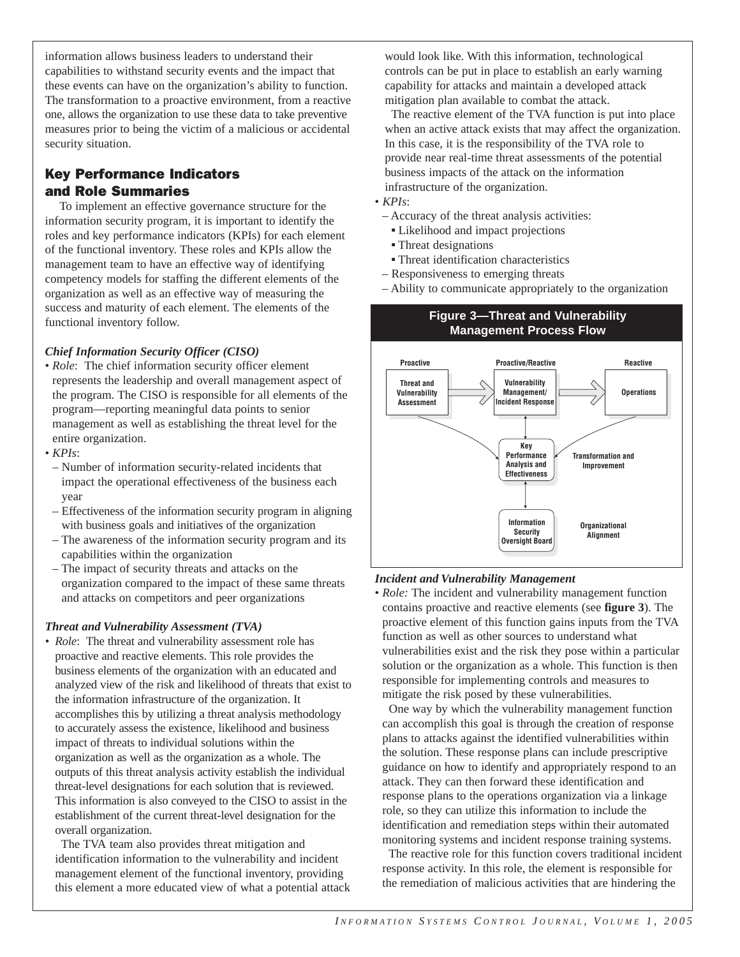information allows business leaders to understand their capabilities to withstand security events and the impact that these events can have on the organization's ability to function. The transformation to a proactive environment, from a reactive one, allows the organization to use these data to take preventive measures prior to being the victim of a malicious or accidental security situation.

# Key Performance Indicators and Role Summaries

To implement an effective governance structure for the information security program, it is important to identify the roles and key performance indicators (KPIs) for each element of the functional inventory. These roles and KPIs allow the management team to have an effective way of identifying competency models for staffing the different elements of the organization as well as an effective way of measuring the success and maturity of each element. The elements of the functional inventory follow.

# *Chief Information Security Officer (CISO)*

- *Role*: The chief information security officer element represents the leadership and overall management aspect of the program. The CISO is responsible for all elements of the program—reporting meaningful data points to senior management as well as establishing the threat level for the entire organization.
- *KPIs*:
- Number of information security-related incidents that impact the operational effectiveness of the business each year
- Effectiveness of the information security program in aligning with business goals and initiatives of the organization
- The awareness of the information security program and its capabilities within the organization
- The impact of security threats and attacks on the organization compared to the impact of these same threats and attacks on competitors and peer organizations

#### *Threat and Vulnerability Assessment (TVA)*

*• Role*: The threat and vulnerability assessment role has proactive and reactive elements. This role provides the business elements of the organization with an educated and analyzed view of the risk and likelihood of threats that exist to the information infrastructure of the organization. It accomplishes this by utilizing a threat analysis methodology to accurately assess the existence, likelihood and business impact of threats to individual solutions within the organization as well as the organization as a whole. The outputs of this threat analysis activity establish the individual threat-level designations for each solution that is reviewed. This information is also conveyed to the CISO to assist in the establishment of the current threat-level designation for the overall organization.

The TVA team also provides threat mitigation and identification information to the vulnerability and incident management element of the functional inventory, providing this element a more educated view of what a potential attack would look like. With this information, technological controls can be put in place to establish an early warning capability for attacks and maintain a developed attack mitigation plan available to combat the attack.

The reactive element of the TVA function is put into place when an active attack exists that may affect the organization. In this case, it is the responsibility of the TVA role to provide near real-time threat assessments of the potential business impacts of the attack on the information infrastructure of the organization.

• *KPIs*:

- Accuracy of the threat analysis activities:
	- Likelihood and impact projections
	- Threat designations
	- **Threat identification characteristics**
- Responsiveness to emerging threats
- Ability to communicate appropriately to the organization

**Figure 3—Threat and Vulnerability** 



# *Incident and Vulnerability Management*

• *Role:* The incident and vulnerability management function contains proactive and reactive elements (see **figure 3**). The proactive element of this function gains inputs from the TVA function as well as other sources to understand what vulnerabilities exist and the risk they pose within a particular solution or the organization as a whole. This function is then responsible for implementing controls and measures to mitigate the risk posed by these vulnerabilities.

One way by which the vulnerability management function can accomplish this goal is through the creation of response plans to attacks against the identified vulnerabilities within the solution. These response plans can include prescriptive guidance on how to identify and appropriately respond to an attack. They can then forward these identification and response plans to the operations organization via a linkage role, so they can utilize this information to include the identification and remediation steps within their automated monitoring systems and incident response training systems.

The reactive role for this function covers traditional incident response activity. In this role, the element is responsible for the remediation of malicious activities that are hindering the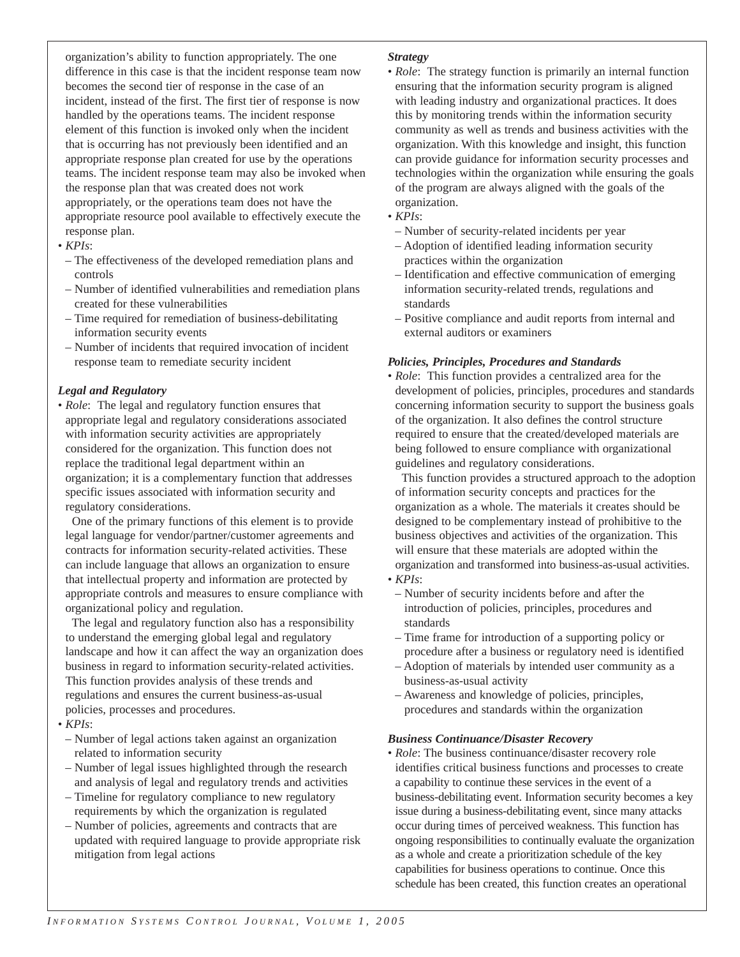organization's ability to function appropriately. The one difference in this case is that the incident response team now becomes the second tier of response in the case of an incident, instead of the first. The first tier of response is now handled by the operations teams. The incident response element of this function is invoked only when the incident that is occurring has not previously been identified and an appropriate response plan created for use by the operations teams. The incident response team may also be invoked when the response plan that was created does not work appropriately, or the operations team does not have the appropriate resource pool available to effectively execute the response plan.

- *KPIs*:
- The effectiveness of the developed remediation plans and controls
- Number of identified vulnerabilities and remediation plans created for these vulnerabilities
- Time required for remediation of business-debilitating information security events
- Number of incidents that required invocation of incident response team to remediate security incident

#### *Legal and Regulatory*

• *Role*: The legal and regulatory function ensures that appropriate legal and regulatory considerations associated with information security activities are appropriately considered for the organization. This function does not replace the traditional legal department within an organization; it is a complementary function that addresses specific issues associated with information security and regulatory considerations.

One of the primary functions of this element is to provide legal language for vendor/partner/customer agreements and contracts for information security-related activities. These can include language that allows an organization to ensure that intellectual property and information are protected by appropriate controls and measures to ensure compliance with organizational policy and regulation.

The legal and regulatory function also has a responsibility to understand the emerging global legal and regulatory landscape and how it can affect the way an organization does business in regard to information security-related activities. This function provides analysis of these trends and regulations and ensures the current business-as-usual policies, processes and procedures.

#### • *KPIs*:

- Number of legal actions taken against an organization related to information security
- Number of legal issues highlighted through the research and analysis of legal and regulatory trends and activities
- Timeline for regulatory compliance to new regulatory requirements by which the organization is regulated
- Number of policies, agreements and contracts that are updated with required language to provide appropriate risk mitigation from legal actions

#### *Strategy*

• *Role*: The strategy function is primarily an internal function ensuring that the information security program is aligned with leading industry and organizational practices. It does this by monitoring trends within the information security community as well as trends and business activities with the organization. With this knowledge and insight, this function can provide guidance for information security processes and technologies within the organization while ensuring the goals of the program are always aligned with the goals of the organization.

#### • *KPIs*:

- Number of security-related incidents per year
- Adoption of identified leading information security practices within the organization
- Identification and effective communication of emerging information security-related trends, regulations and standards
- Positive compliance and audit reports from internal and external auditors or examiners

#### *Policies, Principles, Procedures and Standards*

• *Role*: This function provides a centralized area for the development of policies, principles, procedures and standards concerning information security to support the business goals of the organization. It also defines the control structure required to ensure that the created/developed materials are being followed to ensure compliance with organizational guidelines and regulatory considerations.

This function provides a structured approach to the adoption of information security concepts and practices for the organization as a whole. The materials it creates should be designed to be complementary instead of prohibitive to the business objectives and activities of the organization. This will ensure that these materials are adopted within the organization and transformed into business-as-usual activities. • *KPIs*:

- Number of security incidents before and after the introduction of policies, principles, procedures and standards
- Time frame for introduction of a supporting policy or procedure after a business or regulatory need is identified
- Adoption of materials by intended user community as a business-as-usual activity
- Awareness and knowledge of policies, principles, procedures and standards within the organization

#### *Business Continuance/Disaster Recovery*

• *Role*: The business continuance/disaster recovery role identifies critical business functions and processes to create a capability to continue these services in the event of a business-debilitating event. Information security becomes a key issue during a business-debilitating event, since many attacks occur during times of perceived weakness. This function has ongoing responsibilities to continually evaluate the organization as a whole and create a prioritization schedule of the key capabilities for business operations to continue. Once this schedule has been created, this function creates an operational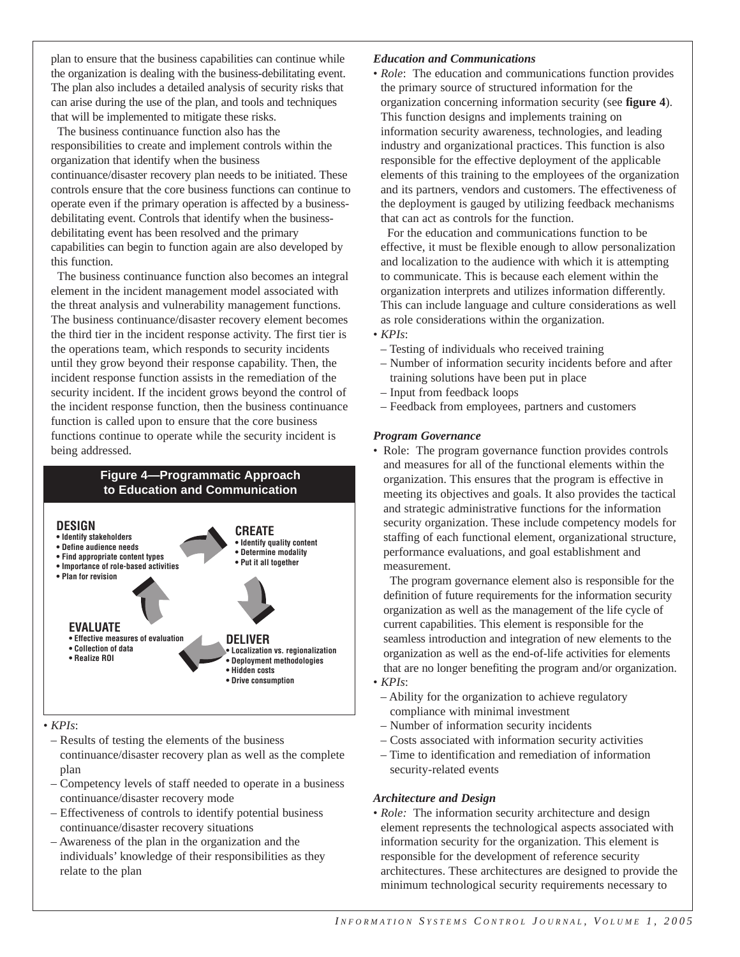plan to ensure that the business capabilities can continue while the organization is dealing with the business-debilitating event. The plan also includes a detailed analysis of security risks that can arise during the use of the plan, and tools and techniques that will be implemented to mitigate these risks.

The business continuance function also has the responsibilities to create and implement controls within the organization that identify when the business continuance/disaster recovery plan needs to be initiated. These controls ensure that the core business functions can continue to operate even if the primary operation is affected by a businessdebilitating event. Controls that identify when the businessdebilitating event has been resolved and the primary capabilities can begin to function again are also developed by this function.

The business continuance function also becomes an integral element in the incident management model associated with the threat analysis and vulnerability management functions. The business continuance/disaster recovery element becomes the third tier in the incident response activity. The first tier is the operations team, which responds to security incidents until they grow beyond their response capability. Then, the incident response function assists in the remediation of the security incident. If the incident grows beyond the control of the incident response function, then the business continuance function is called upon to ensure that the core business functions continue to operate while the security incident is being addressed.



#### • *KPIs*:

- Results of testing the elements of the business continuance/disaster recovery plan as well as the complete
- plan – Competency levels of staff needed to operate in a business continuance/disaster recovery mode
- Effectiveness of controls to identify potential business continuance/disaster recovery situations
- Awareness of the plan in the organization and the individuals' knowledge of their responsibilities as they relate to the plan

#### *Education and Communications*

• *Role*: The education and communications function provides the primary source of structured information for the organization concerning information security (see **figure 4**). This function designs and implements training on information security awareness, technologies, and leading industry and organizational practices. This function is also responsible for the effective deployment of the applicable elements of this training to the employees of the organization and its partners, vendors and customers. The effectiveness of the deployment is gauged by utilizing feedback mechanisms that can act as controls for the function.

For the education and communications function to be effective, it must be flexible enough to allow personalization and localization to the audience with which it is attempting to communicate. This is because each element within the organization interprets and utilizes information differently. This can include language and culture considerations as well as role considerations within the organization.

- *KPIs*:
	- Testing of individuals who received training
	- Number of information security incidents before and after training solutions have been put in place
	- Input from feedback loops
	- Feedback from employees, partners and customers

#### *Program Governance*

• Role: The program governance function provides controls and measures for all of the functional elements within the organization. This ensures that the program is effective in meeting its objectives and goals. It also provides the tactical and strategic administrative functions for the information security organization. These include competency models for staffing of each functional element, organizational structure, performance evaluations, and goal establishment and measurement.

The program governance element also is responsible for the definition of future requirements for the information security organization as well as the management of the life cycle of current capabilities. This element is responsible for the seamless introduction and integration of new elements to the organization as well as the end-of-life activities for elements that are no longer benefiting the program and/or organization. • *KPIs*:

- Ability for the organization to achieve regulatory compliance with minimal investment
- Number of information security incidents
- Costs associated with information security activities
- Time to identification and remediation of information security-related events

#### *Architecture and Design*

• *Role:* The information security architecture and design element represents the technological aspects associated with information security for the organization. This element is responsible for the development of reference security architectures. These architectures are designed to provide the minimum technological security requirements necessary to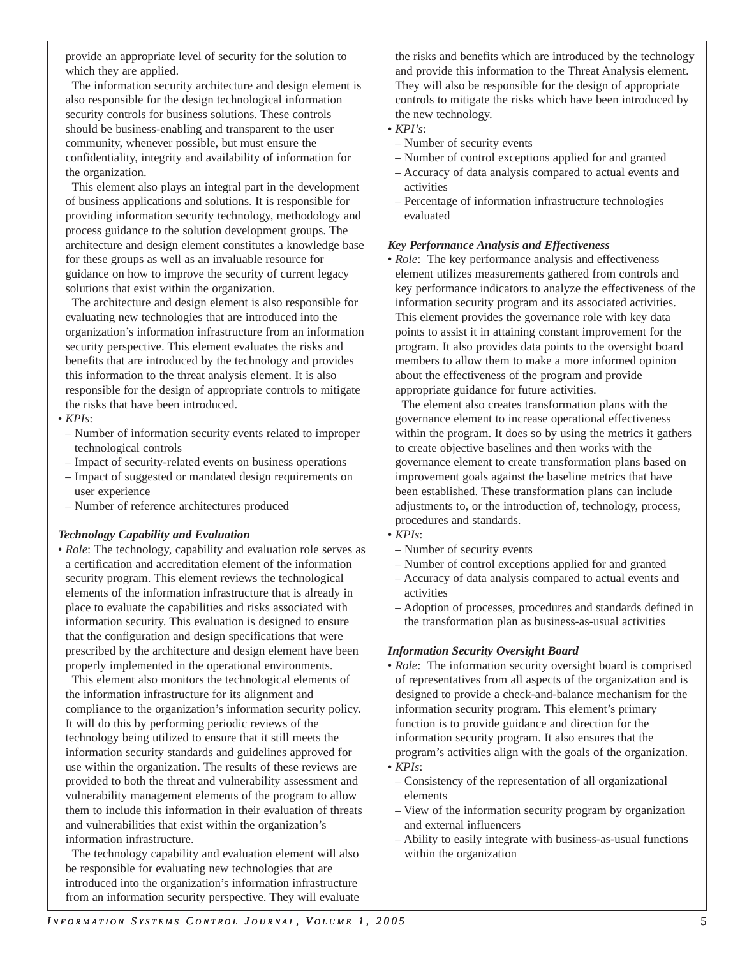The information security architecture and design element is also responsible for the design technological information security controls for business solutions. These controls should be business-enabling and transparent to the user community, whenever possible, but must ensure the confidentiality, integrity and availability of information for the organization.

This element also plays an integral part in the development of business applications and solutions. It is responsible for providing information security technology, methodology and process guidance to the solution development groups. The architecture and design element constitutes a knowledge base for these groups as well as an invaluable resource for guidance on how to improve the security of current legacy solutions that exist within the organization.

The architecture and design element is also responsible for evaluating new technologies that are introduced into the organization's information infrastructure from an information security perspective. This element evaluates the risks and benefits that are introduced by the technology and provides this information to the threat analysis element. It is also responsible for the design of appropriate controls to mitigate the risks that have been introduced.

#### • *KPIs*:

- Number of information security events related to improper technological controls
- Impact of security-related events on business operations
- Impact of suggested or mandated design requirements on user experience
- Number of reference architectures produced

#### *Technology Capability and Evaluation*

• *Role*: The technology, capability and evaluation role serves as a certification and accreditation element of the information security program. This element reviews the technological elements of the information infrastructure that is already in place to evaluate the capabilities and risks associated with information security. This evaluation is designed to ensure that the configuration and design specifications that were prescribed by the architecture and design element have been properly implemented in the operational environments.

This element also monitors the technological elements of the information infrastructure for its alignment and compliance to the organization's information security policy. It will do this by performing periodic reviews of the technology being utilized to ensure that it still meets the information security standards and guidelines approved for use within the organization. The results of these reviews are provided to both the threat and vulnerability assessment and vulnerability management elements of the program to allow them to include this information in their evaluation of threats and vulnerabilities that exist within the organization's information infrastructure.

The technology capability and evaluation element will also be responsible for evaluating new technologies that are introduced into the organization's information infrastructure from an information security perspective. They will evaluate the risks and benefits which are introduced by the technology and provide this information to the Threat Analysis element. They will also be responsible for the design of appropriate controls to mitigate the risks which have been introduced by the new technology.

- *KPI's*:
- Number of security events
- Number of control exceptions applied for and granted
- Accuracy of data analysis compared to actual events and activities
- Percentage of information infrastructure technologies evaluated

#### *Key Performance Analysis and Effectiveness*

• *Role*: The key performance analysis and effectiveness element utilizes measurements gathered from controls and key performance indicators to analyze the effectiveness of the information security program and its associated activities. This element provides the governance role with key data points to assist it in attaining constant improvement for the program. It also provides data points to the oversight board members to allow them to make a more informed opinion about the effectiveness of the program and provide appropriate guidance for future activities.

The element also creates transformation plans with the governance element to increase operational effectiveness within the program. It does so by using the metrics it gathers to create objective baselines and then works with the governance element to create transformation plans based on improvement goals against the baseline metrics that have been established. These transformation plans can include adjustments to, or the introduction of, technology, process, procedures and standards.

#### • *KPIs*:

- Number of security events
- Number of control exceptions applied for and granted
- Accuracy of data analysis compared to actual events and activities
- Adoption of processes, procedures and standards defined in the transformation plan as business-as-usual activities

#### *Information Security Oversight Board*

- *Role*: The information security oversight board is comprised of representatives from all aspects of the organization and is designed to provide a check-and-balance mechanism for the information security program. This element's primary function is to provide guidance and direction for the information security program. It also ensures that the program's activities align with the goals of the organization.
- *KPIs*:
- Consistency of the representation of all organizational elements
- View of the information security program by organization and external influencers
- Ability to easily integrate with business-as-usual functions within the organization